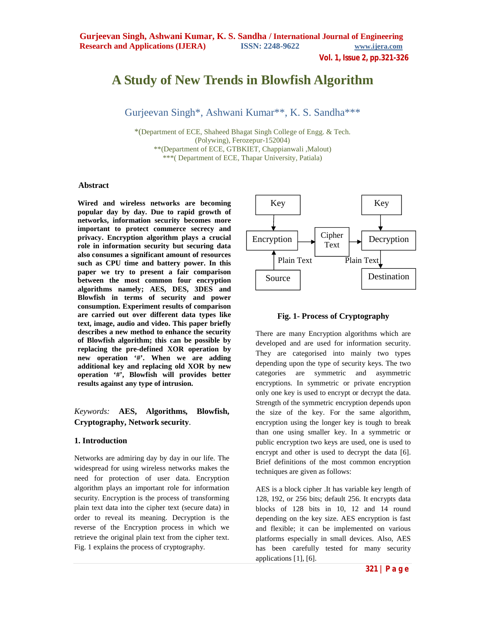**Vol. 1, Issue 2, pp.321-326**

# **A Study of New Trends in Blowfish Algorithm**

Gurjeevan Singh\*, Ashwani Kumar\*\*, K. S. Sandha\*\*\*

\*(Department of ECE, Shaheed Bhagat Singh College of Engg. & Tech. (Polywing), Ferozepur-152004) \*\*(Department of ECE, GTBKIET, Chappianwali ,Malout) \*\*\*( Department of ECE, Thapar University, Patiala)

#### **Abstract**

**Wired and wireless networks are becoming popular day by day. Due to rapid growth of networks, information security becomes more important to protect commerce secrecy and privacy. Encryption algorithm plays a crucial role in information security but securing data also consumes a significant amount of resources such as CPU time and battery power. In this paper we try to present a fair comparison between the most common four encryption algorithms namely; AES, DES, 3DES and Blowfish in terms of security and power consumption. Experiment results of comparison are carried out over different data types like text, image, audio and video. This paper briefly describes a new method to enhance the security of Blowfish algorithm; this can be possible by replacing the pre-defined XOR operation by new operation '#'. When we are adding additional key and replacing old XOR by new operation '#', Blowfish will provides better results against any type of intrusion.** 

### *Keywords:* **AES, Algorithms, Blowfish, Cryptography, Network security**.

#### **1. Introduction**

Networks are admiring day by day in our life. The widespread for using wireless networks makes the need for protection of user data. Encryption algorithm plays an important role for information security. Encryption is the process of transforming plain text data into the cipher text (secure data) in order to reveal its meaning. Decryption is the reverse of the Encryption process in which we retrieve the original plain text from the cipher text. Fig. 1 explains the process of cryptography.



#### **Fig. 1- Process of Cryptography**

There are many Encryption algorithms which are developed and are used for information security. They are categorised into mainly two types depending upon the type of security keys. The two categories are symmetric and asymmetric encryptions. In symmetric or private encryption only one key is used to encrypt or decrypt the data. Strength of the symmetric encryption depends upon the size of the key. For the same algorithm, encryption using the longer key is tough to break than one using smaller key. In a symmetric or public encryption two keys are used, one is used to encrypt and other is used to decrypt the data [6]. Brief definitions of the most common encryption techniques are given as follows:

AES is a block cipher .It has variable key length of 128, 192, or 256 bits; default 256. It encrypts data blocks of 128 bits in 10, 12 and 14 round depending on the key size. AES encryption is fast and flexible; it can be implemented on various platforms especially in small devices. Also, AES has been carefully tested for many security applications [1], [6].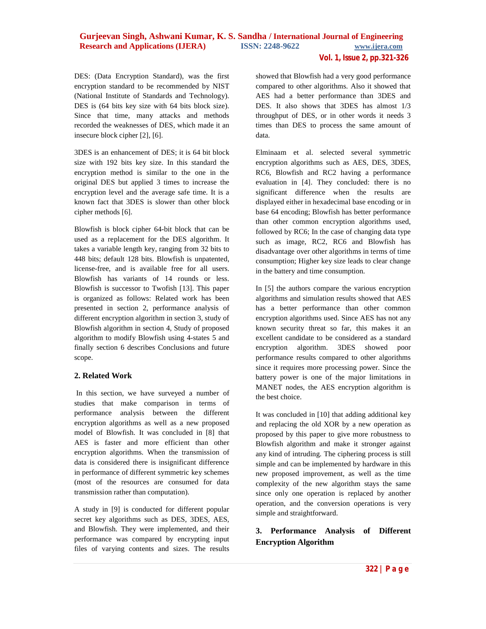# **Gurjeevan Singh, Ashwani Kumar, K. S. Sandha / International Journal of Engineering Research and Applications (IJERA) ISSN: 2248-9622 www.ijera.com**

**Vol. 1, Issue 2, pp.321-326**

DES: (Data Encryption Standard), was the first encryption standard to be recommended by NIST (National Institute of Standards and Technology). DES is (64 bits key size with 64 bits block size). Since that time, many attacks and methods recorded the weaknesses of DES, which made it an insecure block cipher [2], [6].

3DES is an enhancement of DES; it is 64 bit block size with 192 bits key size. In this standard the encryption method is similar to the one in the original DES but applied 3 times to increase the encryption level and the average safe time. It is a known fact that 3DES is slower than other block cipher methods [6].

Blowfish is block cipher 64-bit block that can be used as a replacement for the DES algorithm. It takes a variable length key, ranging from 32 bits to 448 bits; default 128 bits. Blowfish is unpatented, license-free, and is available free for all users. Blowfish has variants of 14 rounds or less. Blowfish is successor to Twofish [13]. This paper is organized as follows: Related work has been presented in section 2, performance analysis of different encryption algorithm in section 3, study of Blowfish algorithm in section 4, Study of proposed algorithm to modify Blowfish using 4-states 5 and finally section 6 describes Conclusions and future scope.

#### **2. Related Work**

In this section, we have surveyed a number of studies that make comparison in terms of performance analysis between the different encryption algorithms as well as a new proposed model of Blowfish. It was concluded in [8] that AES is faster and more efficient than other encryption algorithms. When the transmission of data is considered there is insignificant difference in performance of different symmetric key schemes (most of the resources are consumed for data transmission rather than computation).

A study in [9] is conducted for different popular secret key algorithms such as DES, 3DES, AES, and Blowfish. They were implemented, and their performance was compared by encrypting input files of varying contents and sizes. The results

showed that Blowfish had a very good performance compared to other algorithms. Also it showed that AES had a better performance than 3DES and DES. It also shows that 3DES has almost 1/3 throughput of DES, or in other words it needs 3 times than DES to process the same amount of data.

Elminaam et al. selected several symmetric encryption algorithms such as AES, DES, 3DES, RC6, Blowfish and RC2 having a performance evaluation in [4]. They concluded: there is no significant difference when the results are displayed either in hexadecimal base encoding or in base 64 encoding; Blowfish has better performance than other common encryption algorithms used, followed by RC6; In the case of changing data type such as image, RC2, RC6 and Blowfish has disadvantage over other algorithms in terms of time consumption; Higher key size leads to clear change in the battery and time consumption.

In [5] the authors compare the various encryption algorithms and simulation results showed that AES has a better performance than other common encryption algorithms used. Since AES has not any known security threat so far, this makes it an excellent candidate to be considered as a standard encryption algorithm. 3DES showed poor performance results compared to other algorithms since it requires more processing power. Since the battery power is one of the major limitations in MANET nodes, the AES encryption algorithm is the best choice.

It was concluded in [10] that adding additional key and replacing the old XOR by a new operation as proposed by this paper to give more robustness to Blowfish algorithm and make it stronger against any kind of intruding. The ciphering process is still simple and can be implemented by hardware in this new proposed improvement, as well as the time complexity of the new algorithm stays the same since only one operation is replaced by another operation, and the conversion operations is very simple and straightforward.

## **3. Performance Analysis of Different Encryption Algorithm**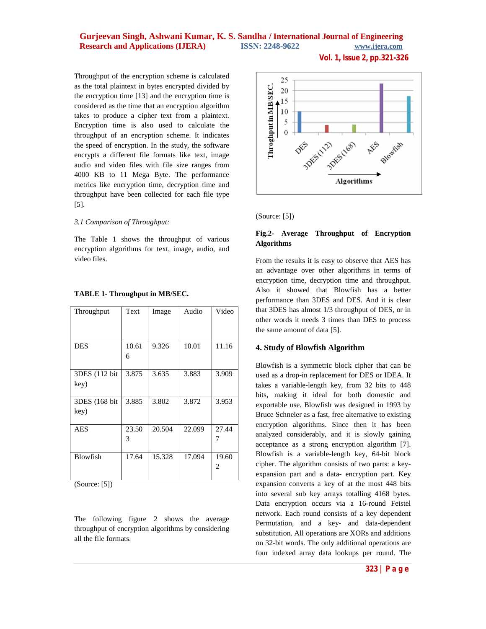## **Gurjeevan Singh, Ashwani Kumar, K. S. Sandha / International Journal of Engineering Research and Applications (IJERA)** ISSN: 2248-9622 www.ijera.com

**Vol. 1, Issue 2, pp.321-326**

Throughput of the encryption scheme is calculated as the total plaintext in bytes encrypted divided by the encryption time [13] and the encryption time is considered as the time that an encryption algorithm takes to produce a cipher text from a plaintext. Encryption time is also used to calculate the throughput of an encryption scheme. It indicates the speed of encryption. In the study, the software encrypts a different file formats like text, image audio and video files with file size ranges from 4000 KB to 11 Mega Byte. The performance metrics like encryption time, decryption time and throughput have been collected for each file type [5].

#### *3.1 Comparison of Throughput:*

The Table 1 shows the throughput of various encryption algorithms for text, image, audio, and video files.

| Throughput             | Text       | Image  | Audio  | Video      |
|------------------------|------------|--------|--------|------------|
| <b>DES</b>             | 10.61<br>6 | 9.326  | 10.01  | 11.16      |
| 3DES (112 bit)<br>key) | 3.875      | 3.635  | 3.883  | 3.909      |
| 3DES (168 bit)<br>key) | 3.885      | 3.802  | 3.872  | 3.953      |
| <b>AES</b>             | 23.50<br>3 | 20.504 | 22.099 | 27.44      |
| Blowfish               | 17.64      | 15.328 | 17.094 | 19.60<br>2 |

#### **TABLE 1- Throughput in MB/SEC.**

(Source: [5])

The following figure 2 shows the average throughput of encryption algorithms by considering all the file formats.



(Source: [5])

#### **Fig.2- Average Throughput of Encryption Algorithms**

From the results it is easy to observe that AES has an advantage over other algorithms in terms of encryption time, decryption time and throughput. Also it showed that Blowfish has a better performance than 3DES and DES. And it is clear that 3DES has almost 1/3 throughput of DES, or in other words it needs 3 times than DES to process the same amount of data [5].

#### **4. Study of Blowfish Algorithm**

Blowfish is a symmetric block cipher that can be used as a drop-in replacement for DES or IDEA. It takes a variable-length key, from 32 bits to 448 bits, making it ideal for both domestic and exportable use. Blowfish was designed in 1993 by Bruce Schneier as a fast, free alternative to existing encryption algorithms. Since then it has been analyzed considerably, and it is slowly gaining acceptance as a strong encryption algorithm [7]. Blowfish is a variable-length key, 64-bit block cipher. The algorithm consists of two parts: a keyexpansion part and a data- encryption part. Key expansion converts a key of at the most 448 bits into several sub key arrays totalling 4168 bytes. Data encryption occurs via a 16-round Feistel network. Each round consists of a key dependent Permutation, and a key- and data-dependent substitution. All operations are XORs and additions on 32-bit words. The only additional operations are four indexed array data lookups per round. The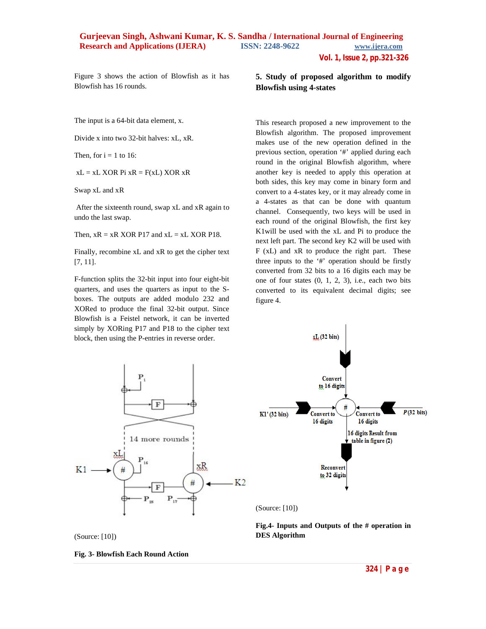**Vol. 1, Issue 2, pp.321-326**

Figure 3 shows the action of Blowfish as it has Blowfish has 16 rounds.

The input is a 64-bit data element, x.

Divide x into two 32-bit halves: xL, xR.

Then, for  $i = 1$  to 16:

 $xL = xL XOR$  Pi  $xR = F(xL) XOR$   $xR$ 

Swap xL and xR

After the sixteenth round, swap xL and xR again to undo the last swap.

Then,  $xR = xR XOR P17$  and  $xL = xL XOR P18$ .

Finally, recombine xL and xR to get the cipher text [7, 11].

F-function splits the 32-bit input into four eight-bit quarters, and uses the quarters as input to the Sboxes. The outputs are added modulo 232 and XORed to produce the final 32-bit output. Since Blowfish is a Feistel network, it can be inverted simply by XORing P17 and P18 to the cipher text block, then using the P-entries in reverse order.

**5. Study of proposed algorithm to modify Blowfish using 4-states** 

This research proposed a new improvement to the Blowfish algorithm. The proposed improvement makes use of the new operation defined in the previous section, operation '#' applied during each round in the original Blowfish algorithm, where another key is needed to apply this operation at both sides, this key may come in binary form and convert to a 4-states key, or it may already come in a 4-states as that can be done with quantum channel. Consequently, two keys will be used in each round of the original Blowfish, the first key K1will be used with the xL and Pi to produce the next left part. The second key K2 will be used with F (xL) and xR to produce the right part. These three inputs to the '#' operation should be firstly converted from 32 bits to a 16 digits each may be one of four states  $(0, 1, 2, 3)$ , i.e., each two bits converted to its equivalent decimal digits; see figure 4.





(Source: [10])

**Fig.4- Inputs and Outputs of the # operation in DES Algorithm**

(Source: [10])

**Fig. 3- Blowfish Each Round Action**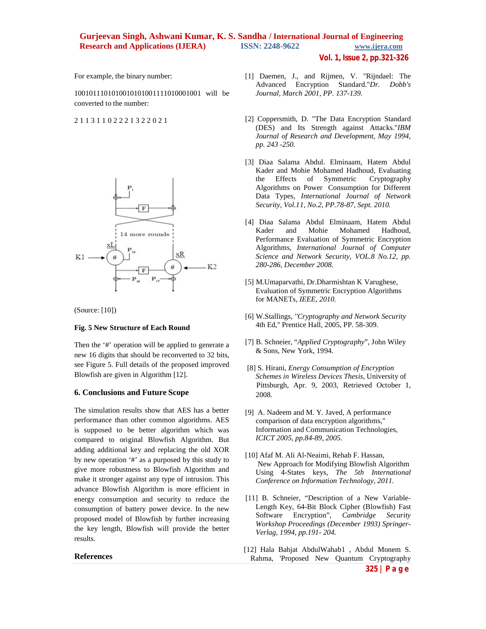# **Gurjeevan Singh, Ashwani Kumar, K. S. Sandha / International Journal of Engineering Research and Applications (IJERA) ISSN: 2248-9622 www.ijera.com**

**Vol. 1, Issue 2, pp.321-326**

For example, the binary number:

1001011101010010101001111010001001 will be converted to the number:

2 1 1 3 1 1 0 2 2 2 1 3 2 2 0 2 1



(Source: [10])

#### **Fig. 5 New Structure of Each Round**

Then the '#' operation will be applied to generate a new 16 digits that should be reconverted to 32 bits, see Figure 5. Full details of the proposed improved Blowfish are given in Algorithm [12].

#### **6. Conclusions and Future Scope**

The simulation results show that AES has a better performance than other common algorithms. AES is supposed to be better algorithm which was compared to original Blowfish Algorithm. But adding additional key and replacing the old XOR by new operation '#' as a purposed by this study to give more robustness to Blowfish Algorithm and make it stronger against any type of intrusion. This advance Blowfish Algorithm is more efficient in energy consumption and security to reduce the consumption of battery power device. In the new proposed model of Blowfish by further increasing the key length, Blowfish will provide the better results.

#### **References**

- [1] Daemen, J., and Rijmen, V. "Rijndael: The Advanced Encryption Standard."*Dr. Dobb's Journal, March 2001, PP. 137-139.*
- [2] Coppersmith, D. "The Data Encryption Standard (DES) and Its Strength against Attacks."*IBM Journal of Research and Development, May 1994, pp. 243 -250.*
- [3] Diaa Salama Abdul. Elminaam, Hatem Abdul Kader and Mohie Mohamed Hadhoud, Evaluating the Effects of Symmetric Cryptography Algorithms on Power Consumption for Different Data Types, *International Journal of Network Security, Vol.11, No.2, PP.78-87, Sept. 2010.*
- [4] Diaa Salama Abdul Elminaam, Hatem Abdul Kader and Mohie Mohamed Hadhoud, Performance Evaluation of Symmetric Encryption Algorithms, *International Journal of Computer Science and Network Security, VOL.8 No.12, pp. 280-286, December 2008.*
- [5] M.Umaparvathi, Dr.Dharmishtan K Varughese, Evaluation of Symmetric Encryption Algorithms for MANETs, *IEEE, 2010*.
- [6] W.Stallings, *''Cryptography and Network Security* 4th Ed,'' Prentice Hall, 2005, PP. 58-309.
- [7] B. Schneier, "*Applied Cryptography*", John Wiley & Sons, New York, 1994.
- [8] S. Hirani, *Energy Consumption of Encryption Schemes in Wireless Devices Thesis*, University of Pittsburgh, Apr. 9, 2003, Retrieved October 1, 2008.
- [9] A. Nadeem and M. Y. Javed, A performance comparison of data encryption algorithms," Information and Communication Technologies, *ICICT 2005, pp.84-89, 2005.*
- [10] Afaf M. Ali Al-Neaimi, Rehab F. Hassan, New Approach for Modifying Blowfish Algorithm Using 4-States keys, *The 5th International Conference on Information Technology, 2011.*
- [11] B. Schneier, "Description of a New Variable-Length Key, 64-Bit Block Cipher (Blowfish) Fast Software Encryption", *Cambridge Security Workshop Proceedings (December 1993) Springer-Verlag, 1994, pp.191- 204.*
- [12] Hala Bahjat AbdulWahab1, Abdul Monem S. Rahma, 'Proposed New Quantum Cryptography